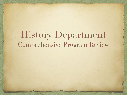# History Department Comprehensive Program Review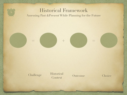# Historical Framework Assessing Past &Present While Planning for the Future

**= + =**

Historical Challenge Historical Outcome Choice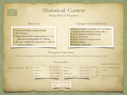# (Historical) Context Snap shot of Program

- · 4 tenured faculty, 9 adjunct faculty
- AA-T History
- Department carries a major portion of our divisions load through G.E. offering.
- We have roughly 20 courses that we offer in various modalities.

#### About Us Campus Contributions

Our department & its members have contributed to equity informed programming such as...

- Comprehensive College Redesign
- · Equity Academies
- · Social Science Unwrapped Series
- Project Change
- Learning communities

#### Program Outcomes

(We are a GE program. Only 10 students graduated with a History Degree in the last two academic years)

|                     |                                | Success with                            |                                          |                                     | <b>Questions/Observations</b>                                  |
|---------------------|--------------------------------|-----------------------------------------|------------------------------------------|-------------------------------------|----------------------------------------------------------------|
| We are an HSI?!?!?! | .atinx:<br>Filipinx:<br>Asian: | 70% & 67%<br>76% & 75%<br>83% & 80%     | Multi-race:<br>Black:<br>Pacific Is.:    | 75% & 75%<br>65% & 67%<br>64% & 57% | • Are we collecting CPR<br>trends?<br>• We need intersectional |
|                     | White:                         | 79% & 79%<br>Female: 77% & 76%<br>Male: | Nat. Am./Al. Nat. 67% & 55%<br>74% & 72% |                                     | data                                                           |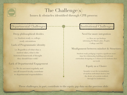## The Challenge(s) Issues & obstacles identified through CPR process

### Departmental Challenges

Deep philosophical divides i.e. Student-ready vs. collegeready orientations Lack of Programmatic identity

i.e. Regardless of what class a student takes, what is the historical framework of thought they should leave with?

#### Lack of Departmental Engagement

i.e. We do not meet regularly, and not all tenured faculty contribute to departmental responsibilities

### Institutional Challenges

Need for more integration

i.e. How are cpr findings informing Ed Master plan, Peoples College, and PD?

#### Misalignment between mindset & Structures

Student-ready pedagogy requires significant more time for relationship building and relevant curriculum designing so 5 classes at 45 students does not work

#### Equity as a Choice

Inequity is not the accumulation of random individual choices, but the desire of a system realized through its institutions

These challenges, in part, contribute to the equity gap data on the previous slide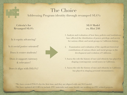# The Choice

Addressing Program identity through revamped SLO's

**Criteria's for Revamped SLO's**

Is it equity advancing?

Is it social justice oriented?

Does it center students?

Does it support currency & relevance?

Does it align with ISLO's?

#### **SLO Model (ex. Hist 240)**

1.Analysis and evaluation of how laws, policies and institutions have affected the distribution of power, privilege, and access for various ethnic and racial groups in California history.

2. Examination and evaluation of the significant historical contributions of various ethnic and racial groups in the development and evolution of California.

3.Assess the role the history of race and ethnicity has played in shaping contemporary social issues in California.

4. Assess the role the history of race and ethnicity in California has played in shaping personal circumstances.

\*We have created PSLO's for the first time, and they are aligned with our SLO model. \*We have updated all COR's to include ZTC materials, and some faculty are working on ZTC related projects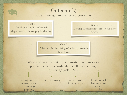# Outcome(s)

Goals moving into the next six year cycle

Goal 1 Develop an equity informed departmental philosophy & identity

Goal 2 Develop assessment tools for our new  $SLO's$ 

Goal 3 Advocate for the hiring of, at least, two fulltime hires

We are requesting that our administration grants us a department chair to coordinate the efforts necessary to achieving goals 1 & 2.

We carry the load for our division & corner stone g.e. programs

We have 13 faculty We have deep divides to bridge Inequitable work load on our dept already is a problem